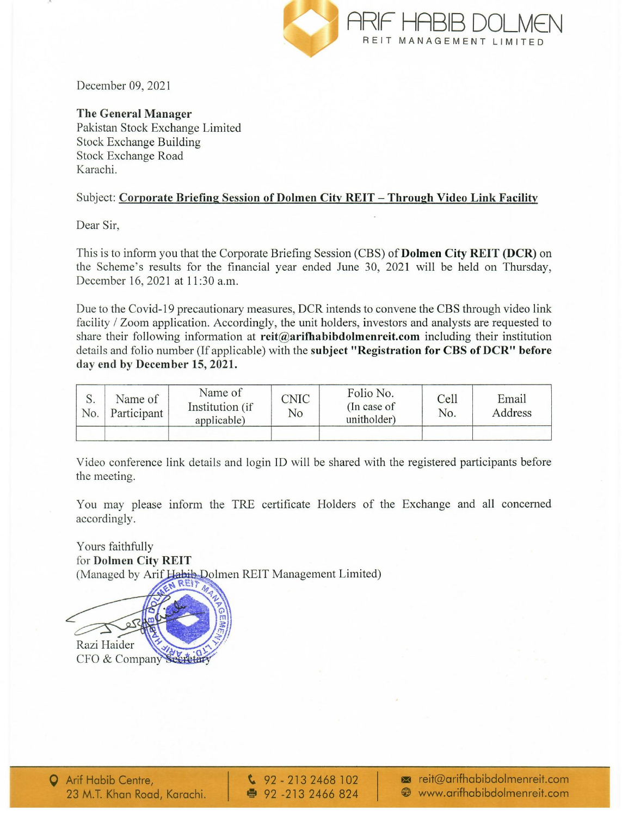

December 09, 2021

## The General Manager

Pakistan Stock Exchange Limited Stock Exchange Building Stock Exchange Road Karachi.

## Subject: Corporate Briefing Session of Dolmen City REIT - Through Video Link Facility

Dear Sir,

This is to inform you that the Corporate Briefing Session (CBS) of Dolmen City REIT (DCR) on the Scheme's results for the financial year ended June 30, 2021 will be held on Thursday, December 16, 2021 at 11:30 a.m.

Due to the Covid-19 precautionary measures, DCR intends to convene the CBS through video link facility / Zoom application. Accordingly, the unit holders, investors and analysts are requested to share their following information at  $reit@arifhabibdolmente$ **it.com** including their institution details and folio number (If applicable) with the subject "Registration for CBS of DCR" before day end by December 15, 2021.

| No. | Name of<br>Participant | Name of<br>Institution (if<br>applicable) | <b>CNIC</b><br>No | Folio No.<br>$($ In case of<br>unitholder) | Cell<br>No. | Email<br>Address |
|-----|------------------------|-------------------------------------------|-------------------|--------------------------------------------|-------------|------------------|
|     |                        |                                           |                   |                                            |             |                  |

Video conference link details and login ID will be shared with the registered participants before the meeting.

You may please inform the TRE certificate Holders of the Exchange and all concerned accordingly.

Yours faithfully for Dolmen City REIT (Managed by Arif Habib Dolmen REIT Management Limited)